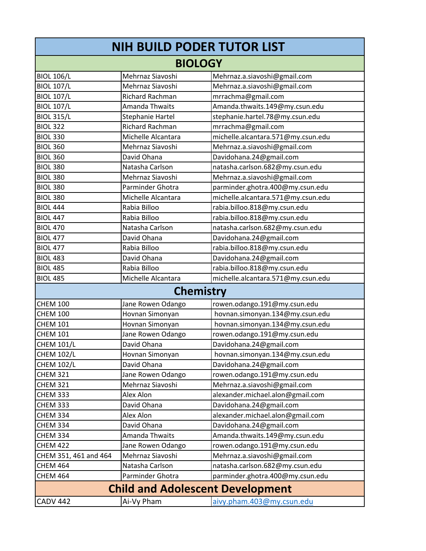| NIH BUILD PODER TUTOR LIST              |                         |                                    |  |
|-----------------------------------------|-------------------------|------------------------------------|--|
| <b>BIOLOGY</b>                          |                         |                                    |  |
| <b>BIOL 106/L</b>                       | Mehrnaz Siavoshi        | Mehrnaz.a.siavoshi@gmail.com       |  |
| <b>BIOL 107/L</b>                       | Mehrnaz Siavoshi        | Mehrnaz.a.siavoshi@gmail.com       |  |
| <b>BIOL 107/L</b>                       | Richard Rachman         | mrrachma@gmail.com                 |  |
| <b>BIOL 107/L</b>                       | Amanda Thwaits          | Amanda.thwaits.149@my.csun.edu     |  |
| <b>BIOL 315/L</b>                       | <b>Stephanie Hartel</b> | stephanie.hartel.78@my.csun.edu    |  |
| <b>BIOL 322</b>                         | <b>Richard Rachman</b>  | mrrachma@gmail.com                 |  |
| <b>BIOL 330</b>                         | Michelle Alcantara      | michelle.alcantara.571@my.csun.edu |  |
| <b>BIOL 360</b>                         | Mehrnaz Siavoshi        | Mehrnaz.a.siavoshi@gmail.com       |  |
| <b>BIOL 360</b>                         | David Ohana             | Davidohana.24@gmail.com            |  |
| <b>BIOL 380</b>                         | Natasha Carlson         | natasha.carlson.682@my.csun.edu    |  |
| <b>BIOL 380</b>                         | Mehrnaz Siavoshi        | Mehrnaz.a.siavoshi@gmail.com       |  |
| <b>BIOL 380</b>                         | Parminder Ghotra        | parminder.ghotra.400@my.csun.edu   |  |
| <b>BIOL 380</b>                         | Michelle Alcantara      | michelle.alcantara.571@my.csun.edu |  |
| <b>BIOL 444</b>                         | Rabia Billoo            | rabia.billoo.818@my.csun.edu       |  |
| <b>BIOL 447</b>                         | Rabia Billoo            | rabia.billoo.818@my.csun.edu       |  |
| <b>BIOL 470</b>                         | Natasha Carlson         | natasha.carlson.682@my.csun.edu    |  |
| <b>BIOL 477</b>                         | David Ohana             | Davidohana.24@gmail.com            |  |
| <b>BIOL 477</b>                         | Rabia Billoo            | rabia.billoo.818@my.csun.edu       |  |
| <b>BIOL 483</b>                         | David Ohana             | Davidohana.24@gmail.com            |  |
| <b>BIOL 485</b>                         | Rabia Billoo            | rabia.billoo.818@my.csun.edu       |  |
| <b>BIOL 485</b>                         | Michelle Alcantara      | michelle.alcantara.571@my.csun.edu |  |
| <b>Chemistry</b>                        |                         |                                    |  |
| <b>CHEM 100</b>                         | Jane Rowen Odango       | rowen.odango.191@my.csun.edu       |  |
| <b>CHEM 100</b>                         | Hovnan Simonyan         | hovnan.simonyan.134@my.csun.edu    |  |
| <b>CHEM 101</b>                         | Hovnan Simonyan         | hovnan.simonyan.134@my.csun.edu    |  |
| <b>CHEM 101</b>                         | Jane Rowen Odango       | rowen.odango.191@my.csun.edu       |  |
| <b>CHEM 101/L</b>                       | David Ohana             | Davidohana.24@gmail.com            |  |
| <b>CHEM 102/L</b>                       | Hovnan Simonyan         | hovnan.simonyan.134@my.csun.edu    |  |
| <b>CHEM 102/L</b>                       | David Ohana             | Davidohana.24@gmail.com            |  |
| <b>CHEM 321</b>                         | Jane Rowen Odango       | rowen.odango.191@my.csun.edu       |  |
| <b>CHEM 321</b>                         | Mehrnaz Siavoshi        | Mehrnaz.a.siavoshi@gmail.com       |  |
| <b>CHEM 333</b>                         | Alex Alon               | alexander.michael.alon@gmail.com   |  |
| <b>CHEM 333</b>                         | David Ohana             | Davidohana.24@gmail.com            |  |
| <b>CHEM 334</b>                         | Alex Alon               | alexander.michael.alon@gmail.com   |  |
| <b>CHEM 334</b>                         | David Ohana             | Davidohana.24@gmail.com            |  |
| <b>CHEM 334</b>                         | <b>Amanda Thwaits</b>   | Amanda.thwaits.149@my.csun.edu     |  |
| <b>CHEM 422</b>                         | Jane Rowen Odango       | rowen.odango.191@my.csun.edu       |  |
| CHEM 351, 461 and 464                   | Mehrnaz Siavoshi        | Mehrnaz.a.siavoshi@gmail.com       |  |
| <b>CHEM 464</b>                         | Natasha Carlson         | natasha.carlson.682@my.csun.edu    |  |
| <b>CHEM 464</b>                         | Parminder Ghotra        | parminder.ghotra.400@my.csun.edu   |  |
| <b>Child and Adolescent Development</b> |                         |                                    |  |
| <b>CADV 442</b>                         | Ai-Vy Pham              | aivy.pham.403@my.csun.edu          |  |